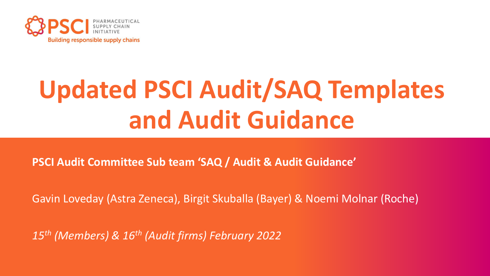

# **Updated PSCI Audit/SAQ Templates and Audit Guidance**

**PSCI Audit Committee Sub team 'SAQ / Audit & Audit Guidance'**

Gavin Loveday (Astra Zeneca), Birgit Skuballa (Bayer) & Noemi Molnar (Roche)

*15th (Members) & 16th (Audit firms) February 2022*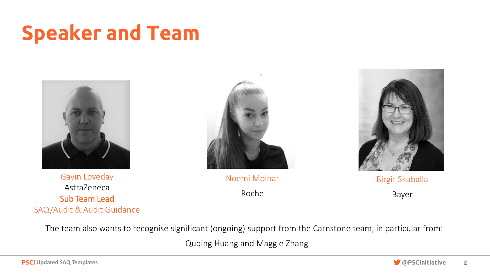# Speaker and Team



Gavin Loveday AstraZeneca Sub Team Lead SAQ/Audit & Audit Guidance



Noemi Molnar

Roche



Birgit Skuballa

Bayer

The team also wants to recognise significant (ongoing) support from the Carnstone team, in particular from:

Quqing Huang and Maggie Zhang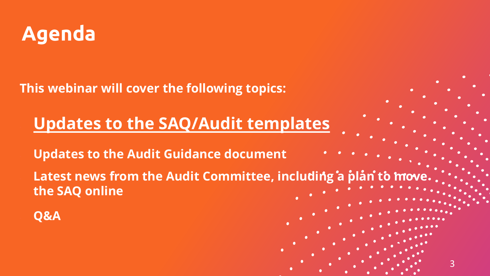

**This webinar will cover the following topics:**

## • **Updates to the SAQ/Audit templates**

• **Updates to the Audit Guidance document**

Latest news from the Audit Committee, including a plan to mov **the SAQ online**

3

• **Q&A**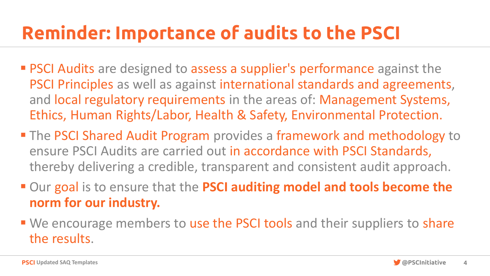# Reminder: Importance of audits to the PSCI

- **PSCI Audits** are designed to assess a supplier's performance against the PSCI Principles as well as against international standards and agreements, and local regulatory requirements in the areas of: Management Systems, Ethics, Human Rights/Labor, Health & Safety, Environmental Protection.
- The PSCI Shared Audit Program provides a framework and methodology to ensure PSCI Audits are carried out in accordance with PSCI Standards, thereby delivering a credible, transparent and consistent audit approach.
- Our goal is to ensure that the PSCI auditing model and tools become the **norm for our industry.**
- We encourage members to use the PSCI tools and their suppliers to share the results.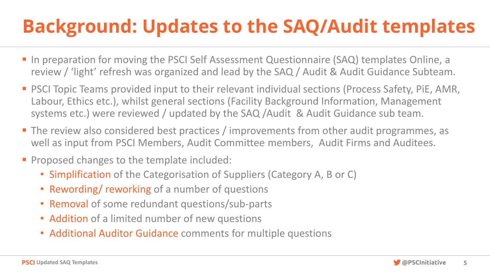# **Background: Updates to the SAQ/Audit templates**

- In preparation for moving the PSCI Self Assessment Questionnaire (SAQ) templates Online, a review / 'light' refresh was organized and lead by the SAQ / Audit & Audit Guidance Subteam.
- PSCI Topic Teams provided input to their relevant individual sections (Process Safety, PiE, AMR, Labour, Ethics etc.), whilst general sections (Facility Background Information, Management systems etc.) were reviewed / updated by the SAQ /Audit & Audit Guidance sub team.
- The review also considered best practices / improvements from other audit programmes, as well as input from PSCI Members, Audit Committee members, Audit Firms and Auditees.
- **Proposed changes to the template included:** 
	- Simplification of the Categorisation of Suppliers (Category A, B or C)
	- Rewording/ reworking of a number of questions
	- Removal of some redundant questions/sub-parts
	- Addition of a limited number of new questions
	- Additional Auditor Guidance comments for multiple questions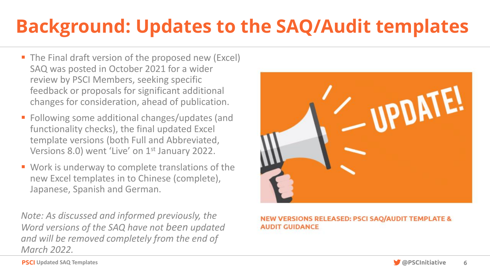# **Background: Updates to the SAQ/Audit templates**

- The Final draft version of the proposed new (Excel) SAQ was posted in October 2021 for a wider review by PSCI Members, seeking specific feedback or proposals for significant additional changes for consideration, ahead of publication.
- Following some additional changes/updates (and functionality checks), the final updated Excel template versions (both Full and Abbreviated, Versions 8.0) went 'Live' on 1<sup>st</sup> January 2022.
- Work is underway to complete translations of the new Excel templates in to Chinese (complete), Japanese, Spanish and German.

*Note: As discussed and informed previously, the Word versions of the SAQ have not been updated and will be removed completely from the end of March 2022.*



#### NEW VERSIONS RELEASED: PSCI SAQ/AUDIT TEMPLATE & **AUDIT GUIDANCE**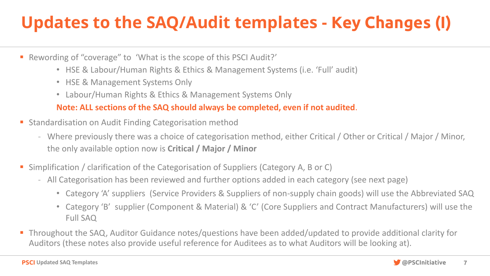## **Updates to the SAQ/Audit templates -** Key Changes (I)

- Rewording of "coverage" to 'What is the scope of this PSCI Audit?'
	- HSE & Labour/Human Rights & Ethics & Management Systems (i.e. 'Full' audit)
	- HSE & Management Systems Only
	- Labour/Human Rights & Ethics & Management Systems Only

### **Note: ALL sections of the SAQ should always be completed, even if not audited**.

- Standardisation on Audit Finding Categorisation method
	- Where previously there was a choice of categorisation method, either Critical / Other or Critical / Major / Minor, the only available option now is **Critical / Major / Minor**
- Simplification / clarification of the Categorisation of Suppliers (Category A, B or C)
	- All Categorisation has been reviewed and further options added in each category (see next page)
		- Category 'A' suppliers (Service Providers & Suppliers of non-supply chain goods) will use the Abbreviated SAQ
		- Category 'B' supplier (Component & Material) & 'C' (Core Suppliers and Contract Manufacturers) will use the Full SAQ
- Throughout the SAQ, Auditor Guidance notes/questions have been added/updated to provide additional clarity for Auditors (these notes also provide useful reference for Auditees as to what Auditors will be looking at).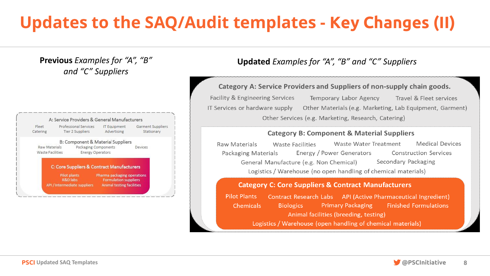### **Updates to the SAQ/Audit templates -** Key Changes (II)

**Previous** *Examples for "A", "B" and "C" Suppliers*

#### A: Service Providers & General Manufacturers Fleet Professional Services **IT Equipment** Garment Suppliers Catering Tier 2 Suppliers Advertising Stationary B: Component & Material Suppliers Raw Materials Packaging Components Devices Waste Facilities Energy Operators C: Core Suppliers & Contract Manufacturers Pilot plants Pharma packaging operations **R&D** labs **Formulation suppliers** API / Intermediate suppliers **Animal testing facilities**

### **Updated** *Examples for "A", "B" and "C" Suppliers*

#### Category A: Service Providers and Suppliers of non-supply chain goods.

Facility & Engineering Services Temporary Labor Agency Travel & Fleet services IT Services or hardware supply Other Materials (e.g. Marketing, Lab Equipment, Garment) Other Services (e.g. Marketing, Research, Catering)

#### **Category B: Component & Material Suppliers**

Waste Water Treatment **Medical Devices** Raw Materials Waste Facilities Energy / Power Generators Packaging Materials **Construction Services** Secondary Packaging General Manufacture (e.g. Non Chemical) Logistics / Warehouse (no open handling of chemical materials)

#### **Category C: Core Suppliers & Contract Manufacturers**

**Pilot Plants** Contract Research Labs API (Active Pharmaceutical Ingredient) Chemicals **Primary Packaging Finished Formulations Biologics** Animal facilities (breeding, testing) Logistics / Warehouse (open handling of chemical materials)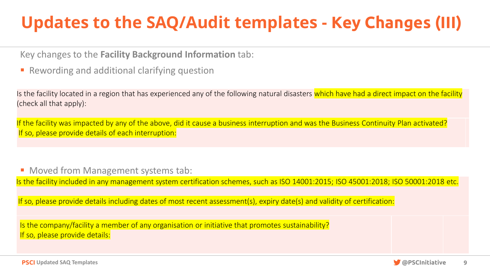## **Updates to the SAQ/Audit templates -** Key Changes (III)

Key changes to the **Facility Background Information** tab:

■ Rewording and additional clarifying question

Is the facility located in a region that has experienced any of the following natural disasters which have had a direct impact on the facility (check all that apply):

If the facility was impacted by any of the above, did it cause a business interruption and was the Business Continuity Plan activated? If so, please provide details of each interruption:

■ Moved from Management systems tab:

Is the facility included in any management system certification schemes, such as ISO 14001:2015; ISO 45001:2018; ISO 50001:2018 etc.

If so, please provide details including dates of most recent assessment(s), expiry date(s) and validity of certification:

Is the company/facility a member of any organisation or initiative that promotes sustainability? If so, please provide details:

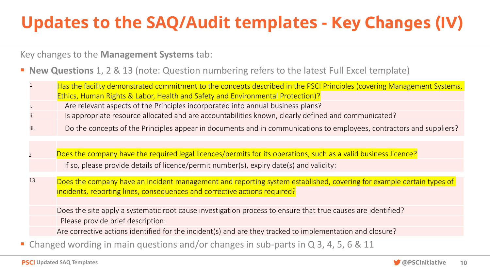## **Updates to the SAQ/Audit templates -** Key Changes (IV)

Key changes to the **Management Systems** tab:

### **New Questions** 1, 2 & 13 (note: Question numbering refers to the latest Full Excel template)

|      | Has the facility demonstrated commitment to the concepts described in the PSCI Principles (covering Management Systems, |
|------|-------------------------------------------------------------------------------------------------------------------------|
|      | Ethics, Human Rights & Labor, Health and Safety and Environmental Protection)?                                          |
|      | Are relevant aspects of the Principles incorporated into annual business plans?                                         |
|      | Is appropriate resource allocated and are accountabilities known, clearly defined and communicated?                     |
| iii. | Do the concepts of the Principles appear in documents and in communications to employees, contractors and suppliers?    |

- Does the company have the required legal licences/permits for its operations, such as a valid business licence? If so, please provide details of licence/permit number(s), expiry date(s) and validity:
- <sup>13</sup> Does the company have an incident management and reporting system established, covering for example certain types of incidents, reporting lines, consequences and corrective actions required?

Does the site apply a systematic root cause investigation process to ensure that true causes are identified? Please provide brief description:

Are corrective actions identified for the incident(s) and are they tracked to implementation and closure?

Changed wording in main questions and/or changes in sub-parts in  $Q$  3, 4, 5, 6 & 11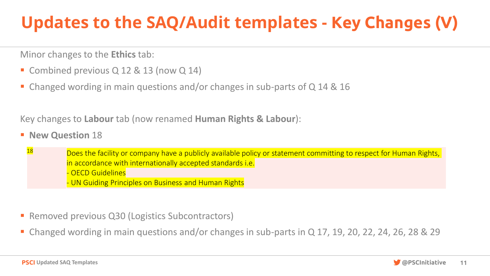## **Updates to the SAQ/Audit templates -** Key Changes (V)

Minor changes to the **Ethics** tab:

- Combined previous Q 12 & 13 (now Q 14)
- Changed wording in main questions and/or changes in sub-parts of  $Q$  14 & 16

Key changes to **Labour** tab (now renamed **Human Rights & Labour**):

- **New Question** 18
	- 18 Does the facility or company have a publicly available policy or statement committing to respect for Human Rights, in accordance with internationally accepted standards i.e.
		- OECD Guidelines
		- UN Guiding Principles on Business and Human Rights
- Removed previous Q30 (Logistics Subcontractors)
- Changed wording in main questions and/or changes in sub-parts in  $Q$  17, 19, 20, 22, 24, 26, 28 & 29

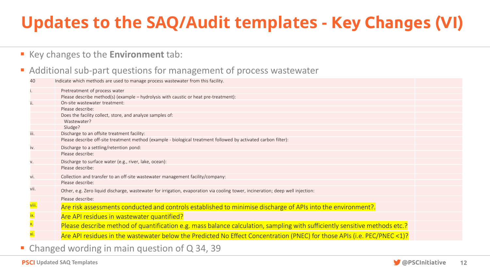## **Updates to the SAQ/Audit templates -** Key Changes (VI)

### ▪ Key changes to the **Environment** tab:

### ■ Additional sub-part questions for management of process wastewater

| 40                 | Indicate which methods are used to manage process wastewater from this facility.                                                                               |  |
|--------------------|----------------------------------------------------------------------------------------------------------------------------------------------------------------|--|
|                    | Pretreatment of process water                                                                                                                                  |  |
|                    | Please describe method(s) (example - hydrolysis with caustic or heat pre-treatment):                                                                           |  |
|                    | On-site wastewater treatment:                                                                                                                                  |  |
|                    | Please describe:                                                                                                                                               |  |
|                    | Does the facility collect, store, and analyze samples of:                                                                                                      |  |
|                    | Wastewater?                                                                                                                                                    |  |
|                    | Sludge?                                                                                                                                                        |  |
| iii.               | Discharge to an offsite treatment facility:<br>Please describe off-site treatment method (example - biological treatment followed by activated carbon filter): |  |
|                    |                                                                                                                                                                |  |
| iv.                | Discharge to a settling/retention pond:<br>Please describe:                                                                                                    |  |
|                    |                                                                                                                                                                |  |
| V.                 | Discharge to surface water (e.g., river, lake, ocean):                                                                                                         |  |
|                    | Please describe:                                                                                                                                               |  |
| vi.                | Collection and transfer to an off-site wastewater management facility/company:                                                                                 |  |
|                    | Please describe:                                                                                                                                               |  |
| vii.               | Other, e.g. Zero liquid discharge, wastewater for irrigation, evaporation via cooling tower, incineration; deep well injection:                                |  |
|                    | Please describe:                                                                                                                                               |  |
| <mark>viii.</mark> | Are risk assessments conducted and controls established to minimise discharge of APIs into the environment?.                                                   |  |
| ix.                | Are API residues in wastewater quantified?                                                                                                                     |  |
| X.                 | Please describe method of quantification e.g. mass balance calculation, sampling with sufficiently sensitive methods etc.?                                     |  |
| xi.                | Are API residues in the wastewater below the Predicted No Effect Concentration (PNEC) for those APIs (i.e. PEC/PNEC <1)?                                       |  |
|                    |                                                                                                                                                                |  |
|                    | Changed wording in main question of Q 34, 39                                                                                                                   |  |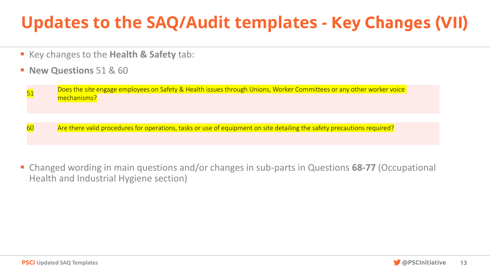## **Updates to the SAQ/Audit templates -** Key Changes (VII)

- Key changes to the **Health & Safety** tab:
- **New Questions 51 & 60**

| 51 | Does the site engage employees on Safety & Health issues through Unions, Worker Committees or any other worker voice<br>mechanisms? |  |
|----|-------------------------------------------------------------------------------------------------------------------------------------|--|
|    |                                                                                                                                     |  |
|    |                                                                                                                                     |  |
| 60 | Are there valid procedures for operations, tasks or use of equipment on site detailing the safety precautions required?             |  |
|    |                                                                                                                                     |  |

■ Changed wording in main questions and/or changes in sub-parts in Questions 68-77 (Occupational Health and Industrial Hygiene section)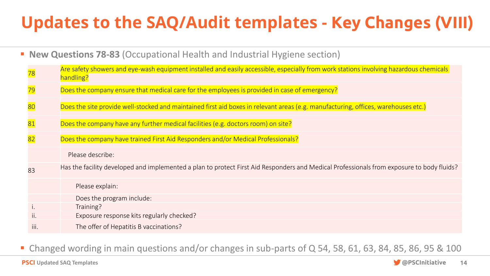## **Updates to the SAQ/Audit templates -** Key Changes (VIII)

■ **New Questions 78-83** (Occupational Health and Industrial Hygiene section)

| <mark>78</mark> | Are safety showers and eye-wash equipment installed and easily accessible, especially from work stations involving hazardous chemicals<br>handling? |
|-----------------|-----------------------------------------------------------------------------------------------------------------------------------------------------|
| <mark>79</mark> | Does the company ensure that medical care for the employees is provided in case of emergency?                                                       |
| $ 80\rangle$    | Does the site provide well-stocked and maintained first aid boxes in relevant areas (e.g. manufacturing, offices, warehouses etc.)                  |
| 81              | Does the company have any further medical facilities (e.g. doctors room) on site?                                                                   |
| 82              | Does the company have trained First Aid Responders and/or Medical Professionals?                                                                    |
|                 | Please describe:                                                                                                                                    |
| 83              | Has the facility developed and implemented a plan to protect First Aid Responders and Medical Professionals from exposure to body fluids?           |
|                 | Please explain:                                                                                                                                     |
|                 | Does the program include:                                                                                                                           |
|                 | Training?                                                                                                                                           |
| ii.             | Exposure response kits regularly checked?                                                                                                           |
| iii.            | The offer of Hepatitis B vaccinations?                                                                                                              |

■ Changed wording in main questions and/or changes in sub-parts of Q 54, 58, 61, 63, 84, 85, 86, 95 & 100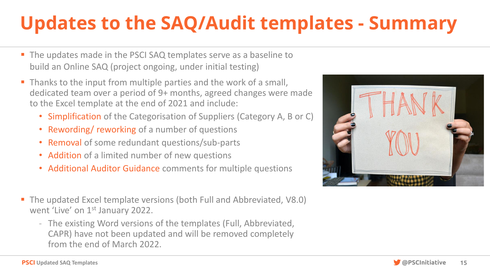# **Updates to the SAQ/Audit templates - Summary**

- The updates made in the PSCI SAQ templates serve as a baseline to build an Online SAQ (project ongoing, under initial testing)
- **.** Thanks to the input from multiple parties and the work of a small, dedicated team over a period of 9+ months, agreed changes were made to the Excel template at the end of 2021 and include:
	- Simplification of the Categorisation of Suppliers (Category A, B or C)
	- Rewording/ reworking of a number of questions
	- Removal of some redundant questions/sub-parts
	- Addition of a limited number of new questions
	- Additional Auditor Guidance comments for multiple questions
- The updated Excel template versions (both Full and Abbreviated, V8.0) went 'Live' on 1<sup>st</sup> January 2022.
	- The existing Word versions of the templates (Full, Abbreviated, CAPR) have not been updated and will be removed completely from the end of March 2022.



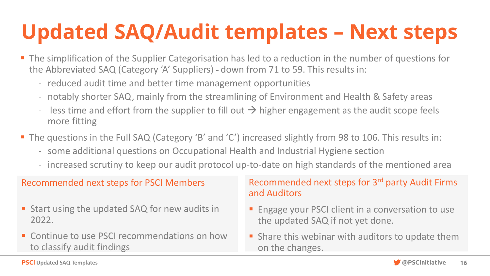# **Updated SAQ/Audit templates – Next steps**

- The simplification of the Supplier Categorisation has led to a reduction in the number of questions for the Abbreviated SAQ (Category 'A' Suppliers) - down from 71 to 59. This results in:
	- reduced audit time and better time management opportunities
	- notably shorter SAQ, mainly from the streamlining of Environment and Health & Safety areas
	- less time and effort from the supplier to fill out  $\rightarrow$  higher engagement as the audit scope feels more fitting
- The questions in the Full SAQ (Category 'B' and 'C') increased slightly from 98 to 106. This results in:
	- some additional questions on Occupational Health and Industrial Hygiene section
	- increased scrutiny to keep our audit protocol up-to-date on high standards of the mentioned area

### Recommended next steps for PSCI Members

- Start using the updated SAQ for new audits in 2022.
- Continue to use PSCI recommendations on how to classify audit findings

### Recommended next steps for 3rd party Audit Firms and Auditors

- Engage your PSCI client in a conversation to use the updated SAQ if not yet done.
- **E** Share this webinar with auditors to update them on the changes.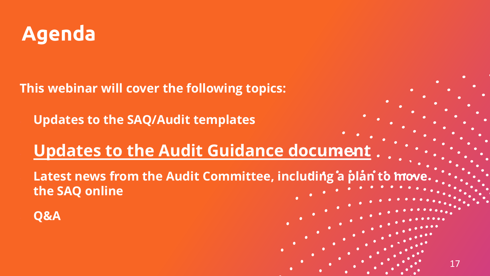

**This webinar will cover the following topics:**

• **Updates to the SAQ/Audit templates**

### • **Updates to the Audit Guidance document**

Latest news from the Audit Committee, including a plan to mov **the SAQ online**

17

• **Q&A**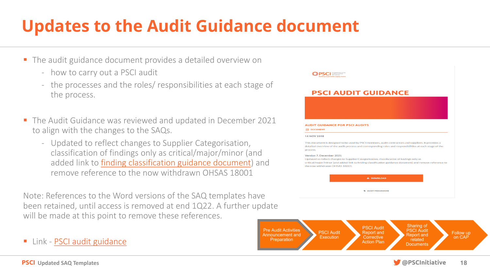## **Updates to the Audit Guidance document**

- The audit guidance document provides a detailed overview on
	- how to carry out a PSCI audit
	- the processes and the roles/ responsibilities at each stage of the process.
- The Audit Guidance was reviewed and updated in December 2021 to align with the changes to the SAQs.
	- Updated to reflect changes to Supplier Categorisation, classification of findings only as critical/major/minor (and added link to [finding classification guidance document\)](https://pscinitiative.org/resource?resource=917) and remove reference to the now withdrawn OHSAS 18001

Note: References to the Word versions of the SAQ templates have been retained, until access is removed at end 1Q22. A further update will be made at this point to remove these references.

■ Link - [PSCI audit guidance](https://pscinitiative.org/resource?resource=3)

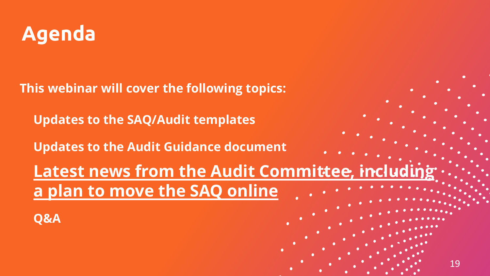

**This webinar will cover the following topics:**

• **Updates to the SAQ/Audit templates**

• **Updates to the Audit Guidance document**

**Latest news from the Audit Committee, including the Contracts a plan to move the SAQ online**

19

• **Q&A**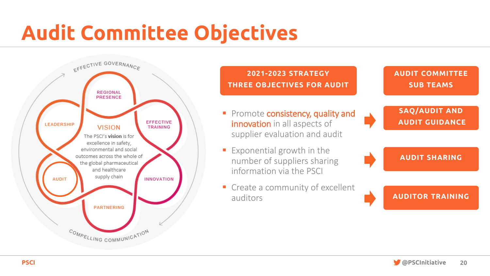# Audit Committee Objectives



### **2021-2023 STRATEGY THREE OBJECTIVES FOR AUDIT**

- **Promote consistency, quality and** innovation in all aspects of supplier evaluation and audit
- **Exponential growth in the** number of suppliers sharing information via the PSCI
- Create a community of excellent auditors

**SUB TEAMS**

**AUDIT COMMITTEE**

**SAQ/AUDIT AND AUDIT GUIDANCE**

**AUDIT SHARING**

**AUDITOR TRAINING**

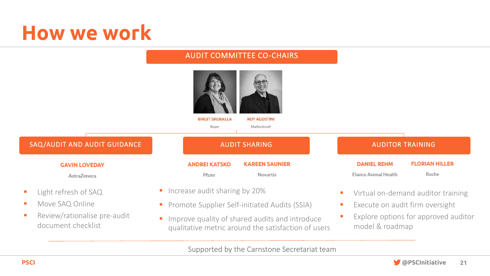# How we work

#### AUDIT COMMITTEE CO-CHAIRS **BIRGIT SKUBALLA ROY AGOSTINI** Baver Mallinckrodt SAQ/AUDIT AND AUDIT GUIDANCE AUDIT SHARING AUDIT SHARING AUDITOR TRAINING **FLORIAN HILLER KAREEN SAUNIER DANIEL REHM GAVIN LOVEDAY ANDREI KATSKO** Roche Pfizer **Novartis Elanco Animal Health AstraZeneca** ■ Increase audit sharing by 20% ■ Light refresh of SAQ ■ Virtual on-demand auditor training ■ Move SAQ Online **• Promote Supplier Self-initiated Audits (SSIA)** ■ Execute on audit firm oversight ■ Review/rationalise pre-audit ■ Explore options for approved auditor **I** Improve quality of shared audits and introduce document checklist model & roadmap qualitative metric around the satisfaction of users

#### Supported by the Carnstone Secretariat team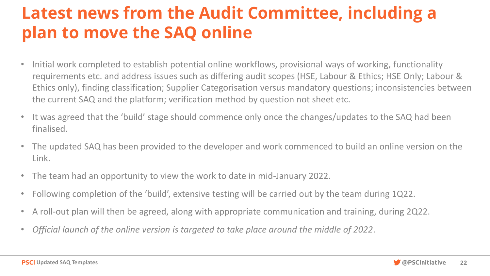### **Latest news from the Audit Committee, including a plan to move the SAQ online**

- Initial work completed to establish potential online workflows, provisional ways of working, functionality requirements etc. and address issues such as differing audit scopes (HSE, Labour & Ethics; HSE Only; Labour & Ethics only), finding classification; Supplier Categorisation versus mandatory questions; inconsistencies between the current SAQ and the platform; verification method by question not sheet etc.
- It was agreed that the 'build' stage should commence only once the changes/updates to the SAQ had been finalised.
- The updated SAQ has been provided to the developer and work commenced to build an online version on the Link.
- The team had an opportunity to view the work to date in mid-January 2022.
- Following completion of the 'build', extensive testing will be carried out by the team during 1Q22.
- A roll-out plan will then be agreed, along with appropriate communication and training, during 2Q22.
- *Official launch of the online version is targeted to take place around the middle of 2022*.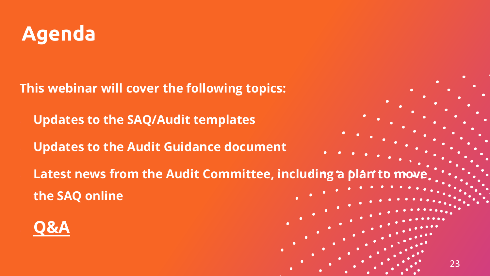

**This webinar will cover the following topics:**

• **Updates to the SAQ/Audit templates**

• **Updates to the Audit Guidance document**

Latest news from the Audit Committee, including a plan to mo **the SAQ online**

23

• **Q&A**